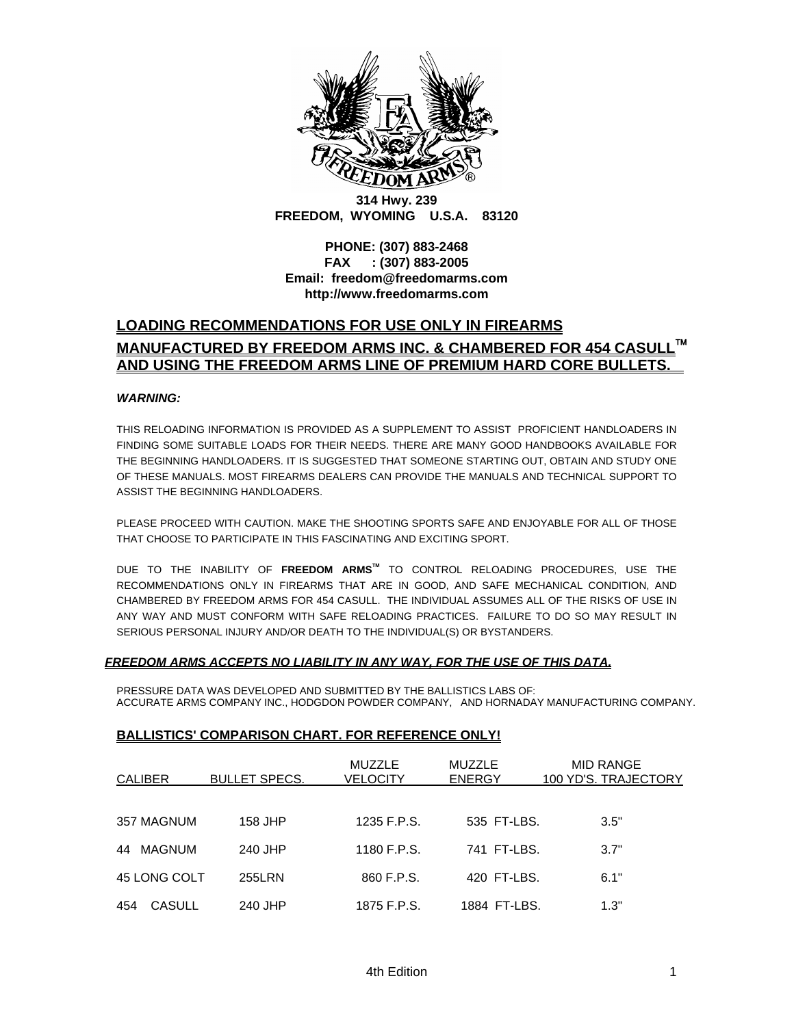

**314 Hwy. 239 FREEDOM, WYOMING U.S.A. 83120** 

**PHONE: (307) 883-2468 FAX : (307) 883-2005 Email: freedom@freedomarms.com http://www.freedomarms.com**

## **LOADING RECOMMENDATIONS FOR USE ONLY IN FIREARMS MANUFACTURED BY FREEDOM ARMS INC. & CHAMBERED FOR 454 CASULL**™ **AND USING THE FREEDOM ARMS LINE OF PREMIUM HARD CORE BULLETS.**

#### *WARNING:*

THIS RELOADING INFORMATION IS PROVIDED AS A SUPPLEMENT TO ASSIST PROFICIENT HANDLOADERS IN FINDING SOME SUITABLE LOADS FOR THEIR NEEDS. THERE ARE MANY GOOD HANDBOOKS AVAILABLE FOR THE BEGINNING HANDLOADERS. IT IS SUGGESTED THAT SOMEONE STARTING OUT, OBTAIN AND STUDY ONE OF THESE MANUALS. MOST FIREARMS DEALERS CAN PROVIDE THE MANUALS AND TECHNICAL SUPPORT TO ASSIST THE BEGINNING HANDLOADERS.

PLEASE PROCEED WITH CAUTION. MAKE THE SHOOTING SPORTS SAFE AND ENJOYABLE FOR ALL OF THOSE THAT CHOOSE TO PARTICIPATE IN THIS FASCINATING AND EXCITING SPORT.

DUE TO THE INABILITY OF **FREEDOM ARMSTM** TO CONTROL RELOADING PROCEDURES, USE THE RECOMMENDATIONS ONLY IN FIREARMS THAT ARE IN GOOD, AND SAFE MECHANICAL CONDITION, AND CHAMBERED BY FREEDOM ARMS FOR 454 CASULL. THE INDIVIDUAL ASSUMES ALL OF THE RISKS OF USE IN ANY WAY AND MUST CONFORM WITH SAFE RELOADING PRACTICES. FAILURE TO DO SO MAY RESULT IN SERIOUS PERSONAL INJURY AND/OR DEATH TO THE INDIVIDUAL(S) OR BYSTANDERS.

### *FREEDOM ARMS ACCEPTS NO LIABILITY IN ANY WAY, FOR THE USE OF THIS DATA.*

PRESSURE DATA WAS DEVELOPED AND SUBMITTED BY THE BALLISTICS LABS OF: ACCURATE ARMS COMPANY INC., HODGDON POWDER COMPANY, AND HORNADAY MANUFACTURING COMPANY.

#### **BALLISTICS' COMPARISON CHART. FOR REFERENCE ONLY!**

| <b>CALIBER</b> | <b>BULLET SPECS.</b> | <b>MUZZLE</b><br>VELOCITY | <b>MUZZLE</b><br><b>ENERGY</b> | <b>MID RANGE</b><br>100 YD'S. TRAJECTORY |
|----------------|----------------------|---------------------------|--------------------------------|------------------------------------------|
| 357 MAGNUM     | 158 JHP              | 1235 F.P.S.               | 535 FT-LBS.                    | 3.5"                                     |
| MAGNUM<br>44   | 240 JHP              | 1180 F.P.S.               | 741 FT-LBS.                    | 3.7"                                     |
| 45 LONG COLT   | 255LRN               | 860 F.P.S.                | 420 FT-LBS.                    | 6.1"                                     |
| CASULL<br>454  | 240 JHP              | 1875 F.P.S.               | 1884 FT-LBS.                   | 1.3"                                     |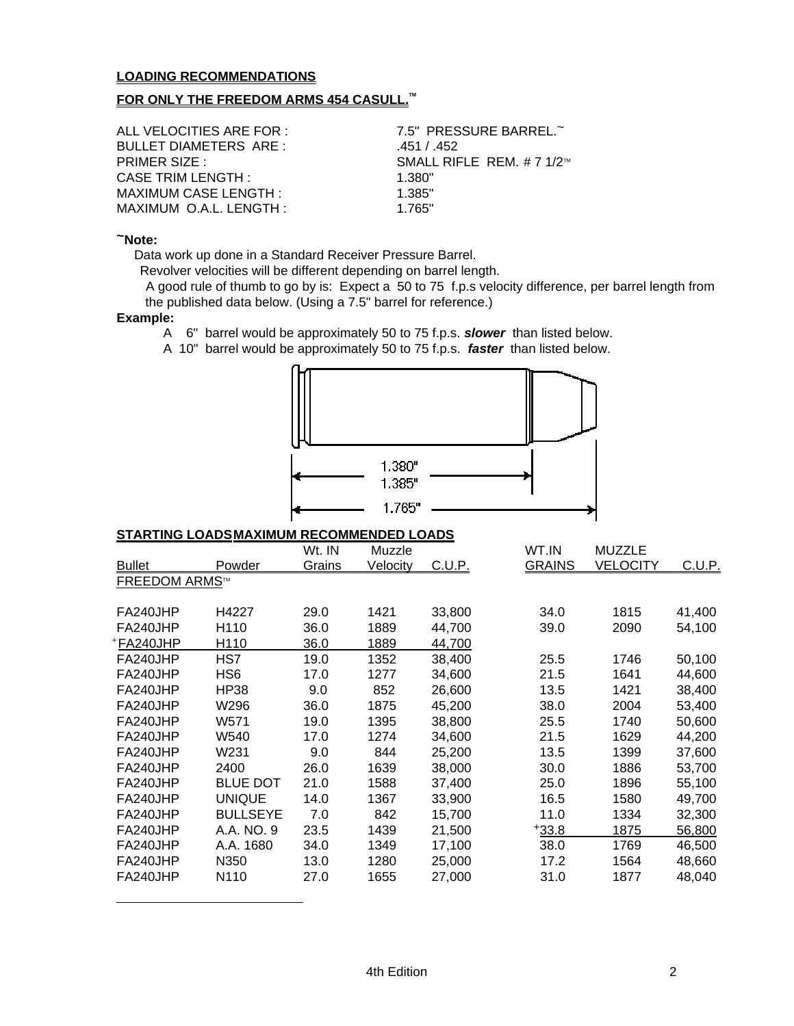## **LOADING RECOMMENDATIONS**

### **FOR ONLY THE FREEDOM ARMS 454 CASULL.**<sup>™</sup>

| ALL VELOCITIES ARE FOR :    | 7.5" PRESSURE BARREL.~       |
|-----------------------------|------------------------------|
| BULLET DIAMETERS ARE:       | .451 / .452                  |
| <b>PRIMER SIZE:</b>         | SMALL RIFLE REM. # 7 $1/2^m$ |
| CASE TRIM LENGTH :          | 1.380"                       |
| <b>MAXIMUM CASE LENGTH:</b> | 1.385"                       |
| MAXIMUM O.A.L. LENGTH:      | 1 765"                       |

#### **~Note:**

Data work up done in a Standard Receiver Pressure Barrel.

Revolver velocities will be different depending on barrel length.

 A good rule of thumb to go by is: Expect a 50 to 75 f.p.s velocity difference, per barrel length from the published data below. (Using a 7.5" barrel for reference.)

### **Example:**

<span id="page-1-0"></span> $\overline{a}$ 

A 6" barrel would be approximately 50 to 75 f.p.s. *slower* than listed below.

A 10" barrel would be approximately 50 to 75 f.p.s. *faster* than listed below.



### **STARTING LOADSMAXIMUM RECOMMENDED LOADS**

|                      |                 | Wt. IN        | Muzzle   |               | WT.IN         | <b>MUZZLE</b>   |        |
|----------------------|-----------------|---------------|----------|---------------|---------------|-----------------|--------|
| <b>Bullet</b>        | Powder          | <u>Grains</u> | Velocity | <u>C.U.P.</u> | <b>GRAINS</b> | <b>VELOCITY</b> | C.U.P. |
| <b>FREEDOM ARMS™</b> |                 |               |          |               |               |                 |        |
|                      |                 |               |          |               |               |                 |        |
| FA240JHP             | H4227           | 29.0          | 1421     | 33,800        | 34.0          | 1815            | 41,400 |
| FA240JHP             | H110            | 36.0          | 1889     | 44,700        | 39.0          | 2090            | 54,100 |
| +FA240JHP            | H110            | 36.0          | 1889     | 44,700        |               |                 |        |
| FA240JHP             | HS7             | 19.0          | 1352     | 38,400        | 25.5          | 1746            | 50,100 |
| FA240JHP             | HS6             | 17.0          | 1277     | 34,600        | 21.5          | 1641            | 44,600 |
| FA240JHP             | HP38            | 9.0           | 852      | 26,600        | 13.5          | 1421            | 38,400 |
| FA240JHP             | W296            | 36.0          | 1875     | 45,200        | 38.0          | 2004            | 53,400 |
| FA240JHP             | W571            | 19.0          | 1395     | 38,800        | 25.5          | 1740            | 50,600 |
| FA240JHP             | W540            | 17.0          | 1274     | 34,600        | 21.5          | 1629            | 44,200 |
| FA240JHP             | W231            | 9.0           | 844      | 25,200        | 13.5          | 1399            | 37,600 |
| FA240JHP             | 2400            | 26.0          | 1639     | 38,000        | 30.0          | 1886            | 53,700 |
| FA240JHP             | <b>BLUE DOT</b> | 21.0          | 1588     | 37,400        | 25.0          | 1896            | 55,100 |
| FA240JHP             | <b>UNIQUE</b>   | 14.0          | 1367     | 33,900        | 16.5          | 1580            | 49,700 |
| FA240JHP             | <b>BULLSEYE</b> | 7.0           | 842      | 15,700        | 11.0          | 1334            | 32,300 |
| FA240JHP             | A.A. NO. 9      | 23.5          | 1439     | 21,500        | $+33.8$       | 1875            | 56,800 |
| FA240JHP             | A.A. 1680       | 34.0          | 1349     | 17,100        | 38.0          | 1769            | 46,500 |
| FA240JHP             | N350            | 13.0          | 1280     | 25,000        | 17.2          | 1564            | 48,660 |
| FA240JHP             | N110            | 27.0          | 1655     | 27,000        | 31.0          | 1877            | 48,040 |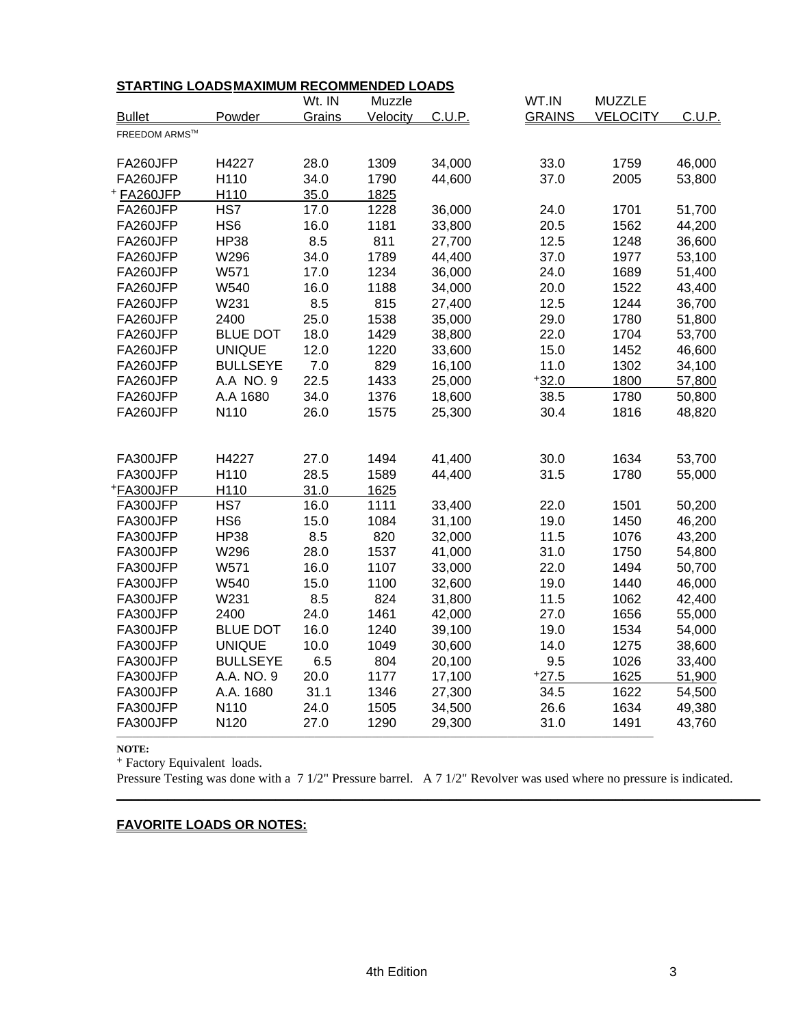| STARTING LOADSMAXIMUM RECOMMENDED LOADS |                 |        |          |        |               |                 |        |  |
|-----------------------------------------|-----------------|--------|----------|--------|---------------|-----------------|--------|--|
|                                         |                 | Wt. IN | Muzzle   |        | WT.IN         | <b>MUZZLE</b>   |        |  |
| <b>Bullet</b>                           | Powder          | Grains | Velocity | C.U.P. | <b>GRAINS</b> | <b>VELOCITY</b> | C.U.P. |  |
| <b>FREEDOM ARMS™</b>                    |                 |        |          |        |               |                 |        |  |
| FA260JFP                                | H4227           | 28.0   | 1309     | 34,000 | 33.0          | 1759            | 46,000 |  |
| FA260JFP                                | H110            | 34.0   | 1790     | 44,600 | 37.0          | 2005            | 53,800 |  |
| +FA260JFP                               | H110            | 35.0   | 1825     |        |               |                 |        |  |
| FA260JFP                                | HS7             | 17.0   | 1228     | 36,000 | 24.0          | 1701            | 51,700 |  |
| FA260JFP                                | HS <sub>6</sub> | 16.0   | 1181     | 33,800 | 20.5          | 1562            | 44,200 |  |
| FA260JFP                                | <b>HP38</b>     | 8.5    | 811      | 27,700 | 12.5          | 1248            | 36,600 |  |
| FA260JFP                                | W296            | 34.0   | 1789     | 44,400 | 37.0          | 1977            | 53,100 |  |
| FA260JFP                                | W571            | 17.0   | 1234     | 36,000 | 24.0          | 1689            | 51,400 |  |
| FA260JFP                                | W540            | 16.0   | 1188     | 34,000 | 20.0          | 1522            | 43,400 |  |
| FA260JFP                                | W231            | 8.5    | 815      | 27,400 | 12.5          | 1244            | 36,700 |  |
| FA260JFP                                | 2400            | 25.0   | 1538     | 35,000 | 29.0          | 1780            | 51,800 |  |
| FA260JFP                                | <b>BLUE DOT</b> | 18.0   | 1429     | 38,800 | 22.0          | 1704            | 53,700 |  |
| FA260JFP                                | <b>UNIQUE</b>   | 12.0   | 1220     | 33,600 | 15.0          | 1452            | 46,600 |  |
| FA260JFP                                | <b>BULLSEYE</b> | 7.0    | 829      | 16,100 | 11.0          | 1302            | 34,100 |  |
| FA260JFP                                | A.A NO. 9       | 22.5   | 1433     | 25,000 | $+32.0$       | 1800            | 57,800 |  |
| FA260JFP                                | A.A 1680        | 34.0   | 1376     | 18,600 | 38.5          | 1780            | 50,800 |  |
| FA260JFP                                | N110            | 26.0   | 1575     | 25,300 | 30.4          | 1816            | 48,820 |  |
|                                         |                 |        |          |        |               |                 |        |  |
| FA300JFP                                | H4227           | 27.0   | 1494     | 41,400 | 30.0          | 1634            | 53,700 |  |
| FA300JFP                                | H110            | 28.5   | 1589     | 44,400 | 31.5          | 1780            | 55,000 |  |
| +FA300JFP                               | H110            | 31.0   | 1625     |        |               |                 |        |  |
| FA300JFP                                | HS7             | 16.0   | 1111     | 33,400 | 22.0          | 1501            | 50,200 |  |
| FA300JFP                                | HS <sub>6</sub> | 15.0   | 1084     | 31,100 | 19.0          | 1450            | 46,200 |  |
| FA300JFP                                | <b>HP38</b>     | 8.5    | 820      | 32,000 | 11.5          | 1076            | 43,200 |  |
| FA300JFP                                | W296            | 28.0   | 1537     | 41,000 | 31.0          | 1750            | 54,800 |  |
| FA300JFP                                | W571            | 16.0   | 1107     | 33,000 | 22.0          | 1494            | 50,700 |  |
| FA300JFP                                | W540            | 15.0   | 1100     | 32,600 | 19.0          | 1440            | 46,000 |  |
| FA300JFP                                | W231            | 8.5    | 824      | 31,800 | 11.5          | 1062            | 42,400 |  |
| FA300JFP                                | 2400            | 24.0   | 1461     | 42,000 | 27.0          | 1656            | 55,000 |  |
| FA300JFP                                | <b>BLUE DOT</b> | 16.0   | 1240     | 39,100 | 19.0          | 1534            | 54,000 |  |
| FA300JFP                                | <b>UNIQUE</b>   | 10.0   | 1049     | 30,600 | 14.0          | 1275            | 38,600 |  |
| FA300JFP                                | <b>BULLSEYE</b> | 6.5    | 804      | 20,100 | 9.5           | 1026            | 33,400 |  |
| FA300JFP                                | A.A. NO. 9      | 20.0   | 1177     | 17,100 | $+27.5$       | 1625            | 51,900 |  |
| FA300JFP                                | A.A. 1680       | 31.1   | 1346     | 27,300 | 34.5          | 1622            | 54,500 |  |
| FA300JFP                                | N110            | 24.0   | 1505     | 34,500 | 26.6          | 1634            | 49,380 |  |
| FA300JFP                                | N120            | 27.0   | 1290     | 29,300 | 31.0          | 1491            | 43,760 |  |
|                                         |                 |        |          |        |               |                 |        |  |

**NOTE:** 

+ Factory Equivalent loads.

Pressure Testing was done with a 7 1/2" Pressure barrel. A 7 1/2" Revolver was used where no pressure is indicated.

**\_\_\_\_\_\_\_\_\_\_\_\_\_\_\_\_\_\_\_\_\_\_\_\_\_\_\_\_\_\_\_\_\_\_\_\_\_\_\_\_\_\_\_\_\_\_\_\_\_\_\_\_\_\_\_\_\_\_\_\_\_\_\_\_\_\_\_\_\_\_\_\_\_\_\_\_\_\_\_\_\_\_\_\_\_\_\_\_\_**

## **FAVORITE LOADS OR NOTES:**